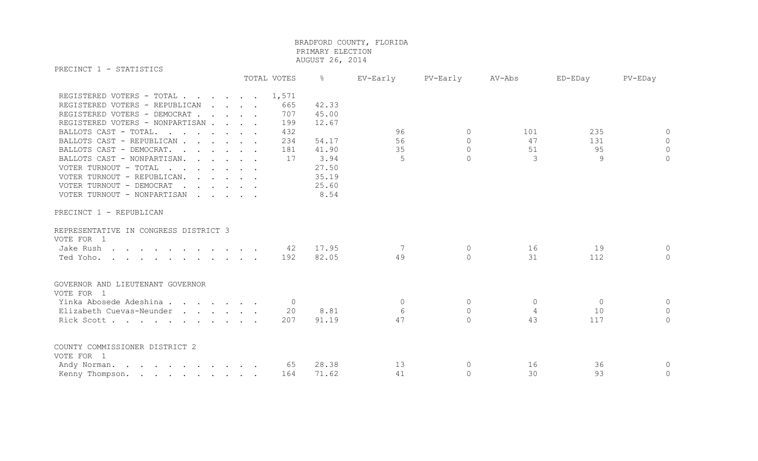PRECINCT 1 - STATISTICS TOTAL VOTES % EV-Early PV-Early AV-Abs ED-EDay PV-EDay REGISTERED VOTERS - TOTAL . . . . . . 1,571 REGISTERED VOTERS - REPUBLICAN . . . . 665 42.33 REGISTERED VOTERS - DEMOCRAT . . . . 707 45.00 REGISTERED VOTERS - NONPARTISAN . . . . 199 12.67 BALLOTS CAST - TOTAL. . . . . . 432 0 96 0 101 235 0 0 BALLOTS CAST - REPUBLICAN . . . . 234 54.17 56 0 47 131 0 BALLOTS CAST - DEMOCRAT. . . . . 181 41.90 35 0 51 95 95 0 BALLOTS CAST - NONPARTISAN. . . . . 17 3.94 5 0 3 9 3 9 0 VOTER TURNOUT - TOTAL . . . . . . . 27.50 VOTER TURNOUT - REPUBLICAN. . . . . . 35.19 VOTER TURNOUT - DEMOCRAT . . . . . . 25.60 VOTER TURNOUT - NONPARTISAN . . . . . 8.54 PRECINCT 1 - REPUBLICAN REPRESENTATIVE IN CONGRESS DISTRICT 3 VOTE FOR 1 Jake Rush . . . . . . . . . . 42 17.95 7 0 16 19 0 Ted Yoho. . . . . . . . . . . . 192 82.05 49 0 31 112 0 GOVERNOR AND LIEUTENANT GOVERNOR

VOTE FOR 1 Yinka Abosede Adeshina . . . . . . . 0 0 0 0 0 0 Elizabeth Cuevas-Neunder . . . . 20 8.81 6 0 4 10 0 0 Rick Scott . . . . . . . . . 207 91.19 47 0 43 117 0 COUNTY COMMISSIONER DISTRICT 2 VOTE FOR 1 Andy Norman. . . . . . . . . . 65 28.38 13 0 16 36 36 0 Kenny Thompson. . . . . . . . 164 71.62 41 0 30 93 0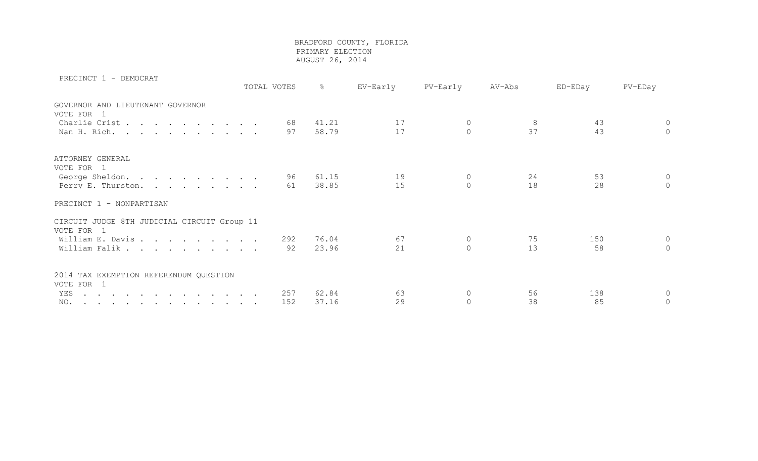| PRECINCT I - DEMOCRAT                                                                                  | TOTAL VOTES | $\frac{8}{6}$ | EV-Early | PV-Early       | AV-Abs | ED-EDay | PV-EDay  |
|--------------------------------------------------------------------------------------------------------|-------------|---------------|----------|----------------|--------|---------|----------|
| GOVERNOR AND LIEUTENANT GOVERNOR                                                                       |             |               |          |                |        |         |          |
| VOTE FOR 1                                                                                             |             |               |          |                |        |         |          |
| Charlie Crist                                                                                          | 68          | 41.21         | 17       | 0              | 8      | 43      | $\circ$  |
| Nan H. Rich.                                                                                           | 97          | 58.79         | 17       | $\mathbf{0}$   | 37     | 43      | $\Omega$ |
| ATTORNEY GENERAL                                                                                       |             |               |          |                |        |         |          |
| VOTE FOR 1                                                                                             |             |               |          |                |        |         |          |
| George Sheldon.                                                                                        | 96          | 61.15         | 19       | $\circ$        | 24     | 53      | $\circ$  |
| Perry E. Thurston.                                                                                     | 61          | 38.85         | 15       | $\Omega$       | 18     | 28      | $\Omega$ |
|                                                                                                        |             |               |          |                |        |         |          |
| PRECINCT 1 - NONPARTISAN                                                                               |             |               |          |                |        |         |          |
| CIRCUIT JUDGE 8TH JUDICIAL CIRCUIT Group 11                                                            |             |               |          |                |        |         |          |
| VOTE FOR 1                                                                                             |             |               |          |                |        |         |          |
| William E. Davis                                                                                       | 292         | 76.04         | 67       | $\overline{0}$ | 75     | 150     | $\circ$  |
| William Falik                                                                                          | 92          | 23.96         | 21       | $\Omega$       | 13     | 58      | $\Omega$ |
| 2014 TAX EXEMPTION REFERENDUM QUESTION                                                                 |             |               |          |                |        |         |          |
| VOTE FOR 1                                                                                             |             |               |          |                |        |         |          |
| YES<br>. The contribution of the contribution of the contribution of the contribution of $\mathcal{A}$ | 257         | 62.84         | 63       | $\mathbf 0$    | 56     | 138     | $\Omega$ |
| NO.                                                                                                    | 152         | 37.16         | 29       | $\circ$        | 38     | 85      | $\circ$  |
|                                                                                                        |             |               |          |                |        |         |          |

PRECINCT 1 - DEMOCRAT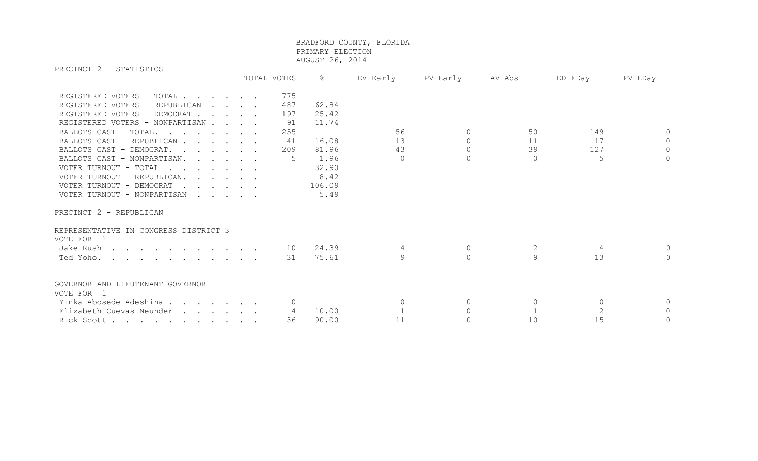PRECINCT 2 - STATISTICS

|                                                                                                                                                                                                                                                                                                                                                                                                                                                                                                                                       | TOTAL VOTES  |                                             | $\frac{6}{6}$                                                                        | EV-Early                   | PV-Early                                     | AV-Abs                     | ED-EDay               | PV-EDay               |
|---------------------------------------------------------------------------------------------------------------------------------------------------------------------------------------------------------------------------------------------------------------------------------------------------------------------------------------------------------------------------------------------------------------------------------------------------------------------------------------------------------------------------------------|--------------|---------------------------------------------|--------------------------------------------------------------------------------------|----------------------------|----------------------------------------------|----------------------------|-----------------------|-----------------------|
| REGISTERED VOTERS - TOTAL<br>REGISTERED VOTERS - REPUBLICAN<br>REGISTERED VOTERS - DEMOCRAT<br>REGISTERED VOTERS - NONPARTISAN<br>BALLOTS CAST - TOTAL.<br>BALLOTS CAST - REPUBLICAN<br>BALLOTS CAST - DEMOCRAT.<br>$\mathbf{r}$ , $\mathbf{r}$ , $\mathbf{r}$ , $\mathbf{r}$ , $\mathbf{r}$<br>BALLOTS CAST - NONPARTISAN.<br>VOTER TURNOUT - TOTAL<br>VOTER TURNOUT - REPUBLICAN.<br>$\cdot$<br>VOTER TURNOUT - DEMOCRAT<br>$\mathbf{r}$ , $\mathbf{r}$ , $\mathbf{r}$ , $\mathbf{r}$ , $\mathbf{r}$<br>VOTER TURNOUT - NONPARTISAN | $\mathbf{r}$ | 775<br>487<br>197<br>91<br>255<br>41<br>209 | 62.84<br>25.42<br>11.74<br>16.08<br>81.96<br>1.96<br>32.90<br>8.42<br>106.09<br>5.49 | 56<br>13<br>43<br>$\Omega$ | $\Omega$<br>$\Omega$<br>$\Omega$<br>$\Omega$ | 50<br>11<br>39<br>$\Omega$ | 149<br>17<br>127<br>5 | $\bigcap$<br>$\Omega$ |
| PRECINCT 2 - REPUBLICAN                                                                                                                                                                                                                                                                                                                                                                                                                                                                                                               |              |                                             |                                                                                      |                            |                                              |                            |                       |                       |
| REPRESENTATIVE IN CONGRESS DISTRICT 3<br>VOTE FOR 1                                                                                                                                                                                                                                                                                                                                                                                                                                                                                   |              |                                             |                                                                                      |                            |                                              |                            |                       |                       |
| Jake Rush                                                                                                                                                                                                                                                                                                                                                                                                                                                                                                                             |              | 10                                          | 24.39                                                                                | 4                          | $\mathbf{0}$                                 | 2                          | 4                     |                       |
| Ted Yoho.                                                                                                                                                                                                                                                                                                                                                                                                                                                                                                                             |              | 31                                          | 75.61                                                                                | 9                          | $\Omega$                                     | 9                          | 13                    | $\cap$                |
| GOVERNOR AND LIEUTENANT GOVERNOR                                                                                                                                                                                                                                                                                                                                                                                                                                                                                                      |              |                                             |                                                                                      |                            |                                              |                            |                       |                       |
| VOTE FOR 1                                                                                                                                                                                                                                                                                                                                                                                                                                                                                                                            |              |                                             |                                                                                      |                            |                                              |                            |                       |                       |
| Yinka Abosede Adeshina                                                                                                                                                                                                                                                                                                                                                                                                                                                                                                                |              |                                             |                                                                                      | $\Omega$                   | $\Omega$                                     | $\Omega$                   | $\Omega$              |                       |
| Elizabeth Cuevas-Neunder                                                                                                                                                                                                                                                                                                                                                                                                                                                                                                              |              | 4                                           | 10.00                                                                                |                            | $\Omega$                                     |                            |                       | $\Omega$              |
| Rick Scott                                                                                                                                                                                                                                                                                                                                                                                                                                                                                                                            |              | 36                                          | 90.00                                                                                | 11                         | $\Omega$                                     | 10                         | 15                    | $\Omega$              |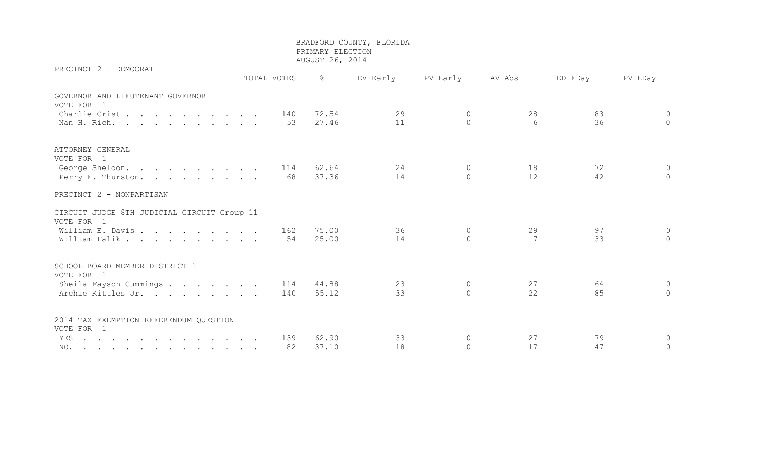PRECINCT 2 - DEMOCRAT

 TOTAL VOTES % EV-Early PV-Early AV-Abs ED-EDay PV-EDay GOVERNOR AND LIEUTENANT GOVERNOR VOTE FOR 1 Charlie Crist . . . . . . . . 140 72.54 29 0 28 83 0 Nan H. Rich. . . . . . . . . . 53 27.46 11 0 6 36 0 ATTORNEY GENERAL VOTE FOR 1 George Sheldon. . . . . . . . 114 62.64 24 0 18 72 0 Perry E. Thurston. . . . . . . . . 68 37.36 14 0 12 42 0 PRECINCT 2 - NONPARTISAN CIRCUIT JUDGE 8TH JUDICIAL CIRCUIT Group 11 VOTE FOR 1 William E. Davis . . . . . . . . . 162 75.00 36 0 29 97 0 William Falik . . . . . . . . . 54 25.00 14 0 7 33 0 SCHOOL BOARD MEMBER DISTRICT 1 VOTE FOR 1 Sheila Fayson Cummings . . . . . . 114 44.88 23 0 27 64 0 Archie Kittles Jr. . . . . . . . 140 55.12 33 0 22 85 0 2014 TAX EXEMPTION REFERENDUM QUESTION VOTE FOR 1 YES . . . . . . . . . . . . . 139 62.90 33 0 27 79 0 NO. . . . . . . . . . . . . 82 37.10 18 0 17 47 0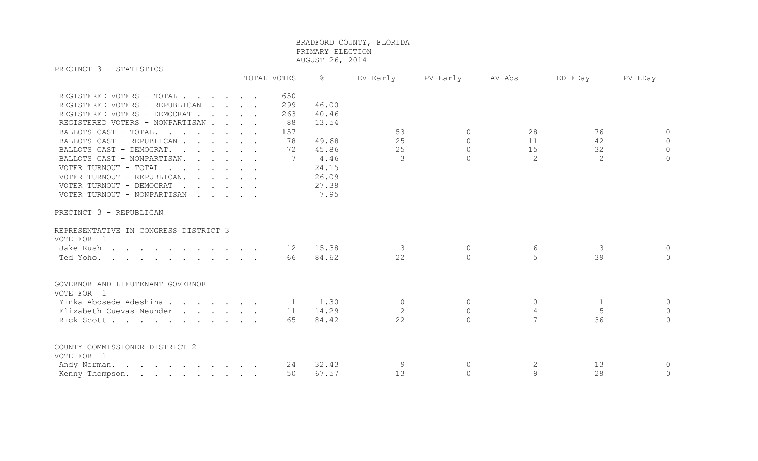PRECINCT 3 - STATISTICS

| LIVOLINOI O<br><b>DIMITOITO</b>                                                                                  |                                                           | TOTAL VOTES  | $\frac{6}{6}$ | EV-Early | PV-Early  | AV-Abs         | ED-EDay | PV-EDay        |
|------------------------------------------------------------------------------------------------------------------|-----------------------------------------------------------|--------------|---------------|----------|-----------|----------------|---------|----------------|
| REGISTERED VOTERS - TOTAL                                                                                        |                                                           | 650          |               |          |           |                |         |                |
| REGISTERED VOTERS - REPUBLICAN                                                                                   | $\sim$ $\sim$ $\sim$ $\sim$                               | 299          | 46.00         |          |           |                |         |                |
| REGISTERED VOTERS - DEMOCRAT                                                                                     |                                                           | 263          | 40.46         |          |           |                |         |                |
| REGISTERED VOTERS - NONPARTISAN                                                                                  |                                                           | 88           | 13.54         |          |           |                |         |                |
| BALLOTS CAST - TOTAL.<br>$\mathbf{r}$ , $\mathbf{r}$ , $\mathbf{r}$ , $\mathbf{r}$ , $\mathbf{r}$ , $\mathbf{r}$ |                                                           | 157          |               | 53       | $\Omega$  | 28             | 76      | $\circ$        |
| BALLOTS CAST - REPUBLICAN                                                                                        |                                                           | 78           | 49.68         | 25       | $\Omega$  | 11             | 42      | $\Omega$       |
| BALLOTS CAST - DEMOCRAT.                                                                                         |                                                           | 72           | 45.86         | 25       | $\Omega$  | 15             | 32      | $\overline{0}$ |
| BALLOTS CAST - NONPARTISAN.                                                                                      | $\mathbf{r}$ , $\mathbf{r}$ , $\mathbf{r}$ , $\mathbf{r}$ | 7            | 4.46          | 3        | $\Omega$  | 2              | 2       | $\circ$        |
| VOTER TURNOUT - TOTAL<br>$\mathbf{r}$ , $\mathbf{r}$ , $\mathbf{r}$ , $\mathbf{r}$ , $\mathbf{r}$                |                                                           |              | 24.15         |          |           |                |         |                |
| VOTER TURNOUT - REPUBLICAN.                                                                                      |                                                           |              | 26.09         |          |           |                |         |                |
| VOTER TURNOUT - DEMOCRAT<br>$\mathbf{r}$ , $\mathbf{r}$ , $\mathbf{r}$ , $\mathbf{r}$                            |                                                           |              | 27.38         |          |           |                |         |                |
| VOTER TURNOUT - NONPARTISAN                                                                                      |                                                           |              | 7.95          |          |           |                |         |                |
| PRECINCT 3 - REPUBLICAN                                                                                          |                                                           |              |               |          |           |                |         |                |
| REPRESENTATIVE IN CONGRESS DISTRICT 3<br>VOTE FOR 1                                                              |                                                           |              |               |          |           |                |         |                |
| Jake Rush                                                                                                        |                                                           | 12           | 15.38         | 3        | $\Omega$  | 6              | 3       | $\circ$        |
| Ted Yoho.                                                                                                        |                                                           | 66           | 84.62         | 22       | $\Omega$  | 5              | 39      | $\Omega$       |
| GOVERNOR AND LIEUTENANT GOVERNOR                                                                                 |                                                           |              |               |          |           |                |         |                |
| VOTE FOR 1                                                                                                       |                                                           |              |               |          |           |                |         |                |
| Yinka Abosede Adeshina                                                                                           |                                                           | $\mathbf{1}$ | 1.30          | 0        | $\Omega$  | $\Omega$       | 1       | $\circ$        |
| Elizabeth Cuevas-Neunder                                                                                         |                                                           | 11           | 14.29         | 2        | $\Omega$  | $\overline{4}$ | 5       | $\circ$        |
| Rick Scott                                                                                                       |                                                           | 65           | 84.42         | 22       | $\bigcap$ | 7              | 36      | $\bigcap$      |
| COUNTY COMMISSIONER DISTRICT 2                                                                                   |                                                           |              |               |          |           |                |         |                |
| VOTE FOR 1                                                                                                       |                                                           |              | 32.43         | 9        | $\Omega$  | 2              | 13      |                |
| Andy Norman.                                                                                                     |                                                           | 24           |               | 13       |           | 9              | 28      | $\circ$        |
| Kenny Thompson.                                                                                                  |                                                           | 50           | 67.57         |          | $\Omega$  |                |         | $\circ$        |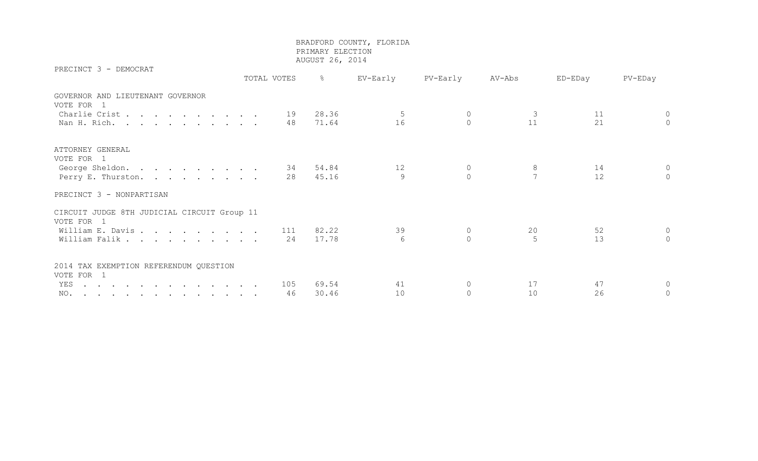PRECINCT 3 - DEMOCRAT

 TOTAL VOTES % EV-Early PV-Early AV-Abs ED-EDay PV-EDay GOVERNOR AND LIEUTENANT GOVERNOR VOTE FOR 1 Charlie Crist . . . . . . . . 19 28.36 5 0 3 11 0 Nan H. Rich. . . . . . . . . . 48 71.64 16 0 11 21 0 ATTORNEY GENERAL VOTE FOR 1 George Sheldon. . . . . . . . . 34 54.84 12 0 8 14 0 Perry E. Thurston. . . . . . . . 28 45.16 9 0 7 12 0 PRECINCT 3 - NONPARTISAN CIRCUIT JUDGE 8TH JUDICIAL CIRCUIT Group 11 VOTE FOR 1 William E. Davis . . . . . . . . 111 82.22 39 0 20 52 0 William Falik . . . . . . . . . . 24 17.78 6 0 5 13 0 2014 TAX EXEMPTION REFERENDUM QUESTION VOTE FOR 1 YES . . . . . . . . . . . . . . . 105 69.54 41 0 17 47 0 NO. . . . . . . . . . . . . 46 30.46 10 0 10 26 0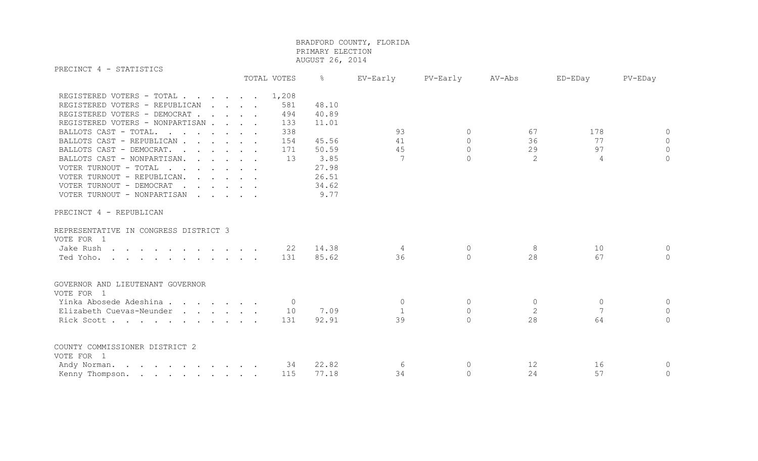PRECINCT 4 - STATISTICS

|                                                                                                   |  | TOTAL VOTES    | န္    | EV-Early     | PV-Early  | AV-Abs         | ED-EDay  | PV-EDay      |
|---------------------------------------------------------------------------------------------------|--|----------------|-------|--------------|-----------|----------------|----------|--------------|
| REGISTERED VOTERS - TOTAL                                                                         |  | 1,208          |       |              |           |                |          |              |
| REGISTERED VOTERS - REPUBLICAN                                                                    |  | 581            | 48.10 |              |           |                |          |              |
| REGISTERED VOTERS - DEMOCRAT                                                                      |  | 494            | 40.89 |              |           |                |          |              |
| REGISTERED VOTERS - NONPARTISAN                                                                   |  | 133            | 11.01 |              |           |                |          |              |
| BALLOTS CAST - TOTAL.<br>$\mathbf{r}$ , $\mathbf{r}$ , $\mathbf{r}$ , $\mathbf{r}$ , $\mathbf{r}$ |  | 338            |       | 93           | $\bigcap$ | 67             | 178      | 0            |
| BALLOTS CAST - REPUBLICAN                                                                         |  | 154            | 45.56 | 41           | $\cap$    | 36             | 77       | 0            |
| BALLOTS CAST - DEMOCRAT.                                                                          |  | 171            | 50.59 | 45           | $\bigcap$ | 29             | 97       | $\mathbf 0$  |
| BALLOTS CAST - NONPARTISAN.                                                                       |  | 13             | 3.85  | 7            | $\Omega$  | 2              | 4        | $\Omega$     |
| VOTER TURNOUT - TOTAL<br>$\mathbf{r}$ , $\mathbf{r}$ , $\mathbf{r}$ , $\mathbf{r}$ , $\mathbf{r}$ |  |                | 27.98 |              |           |                |          |              |
| VOTER TURNOUT - REPUBLICAN.                                                                       |  |                | 26.51 |              |           |                |          |              |
| VOTER TURNOUT - DEMOCRAT<br>$\mathbf{r}$ . The set of the set of $\mathbf{r}$                     |  |                | 34.62 |              |           |                |          |              |
| VOTER TURNOUT - NONPARTISAN                                                                       |  |                | 9.77  |              |           |                |          |              |
| PRECINCT 4 - REPUBLICAN                                                                           |  |                |       |              |           |                |          |              |
| REPRESENTATIVE IN CONGRESS DISTRICT 3                                                             |  |                |       |              |           |                |          |              |
| VOTE FOR 1                                                                                        |  |                |       |              |           |                |          |              |
| Jake Rush                                                                                         |  | 22             | 14.38 | 4            | $\circ$   | 8              | 10       |              |
| Ted Yoho.                                                                                         |  | 131            | 85.62 | 36           | $\Omega$  | 28             | 67       | $\Omega$     |
|                                                                                                   |  |                |       |              |           |                |          |              |
| GOVERNOR AND LIEUTENANT GOVERNOR<br>VOTE FOR 1                                                    |  |                |       |              |           |                |          |              |
| Yinka Abosede Adeshina                                                                            |  | $\overline{0}$ |       | $\circ$      | $\Omega$  | $\circ$        | $\Omega$ |              |
| Elizabeth Cuevas-Neunder                                                                          |  | 10             | 7.09  | $\mathbf{1}$ | $\Omega$  | $\overline{2}$ | 7        | 0            |
| Rick Scott                                                                                        |  | 131            | 92.91 | 39           | $\cap$    | 28             | 64       | $\Omega$     |
| COUNTY COMMISSIONER DISTRICT 2                                                                    |  |                |       |              |           |                |          |              |
| VOTE FOR 1                                                                                        |  |                |       |              |           |                |          |              |
| Andy Norman.                                                                                      |  | 34             | 22.82 | 6            | $\circ$   | 12             | 16       | $\mathsf{O}$ |
| Kenny Thompson.                                                                                   |  | 115            | 77.18 | 34           | $\Omega$  | 24             | 57       | $\circ$      |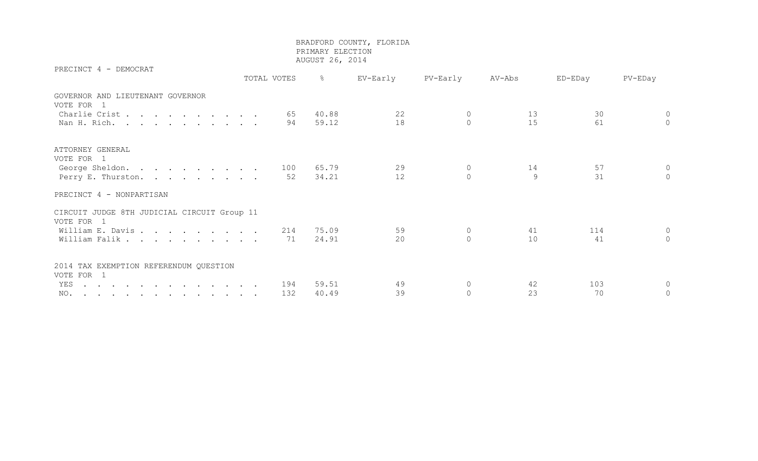PRECINCT 4 - DEMOCRAT

 TOTAL VOTES % EV-Early PV-Early AV-Abs ED-EDay PV-EDay GOVERNOR AND LIEUTENANT GOVERNOR VOTE FOR 1 Charlie Crist . . . . . . . . 65 40.88 22 0 13 30 0 Nan H. Rich. . . . . . . . . . 94 59.12 18 0 15 61 0 ATTORNEY GENERAL VOTE FOR 1 George Sheldon. . . . . . . . . 100 65.79 29 0 14 57 0 Perry E. Thurston. . . . . . . . 52 34.21 12 0 9 31 0 PRECINCT 4 - NONPARTISAN CIRCUIT JUDGE 8TH JUDICIAL CIRCUIT Group 11 VOTE FOR 1 William E. Davis . . . . . . . . 214 75.09 59 0 41 114 0 William Falik . . . . . . . . . . 71 24.91 20 0 10 41 0 2014 TAX EXEMPTION REFERENDUM QUESTION VOTE FOR 1 YES . . . . . . . . . . . . . 194 59.51 49 0 42 103 0 NO. . . . . . . . . . . . . 132 40.49 39 0 23 70 0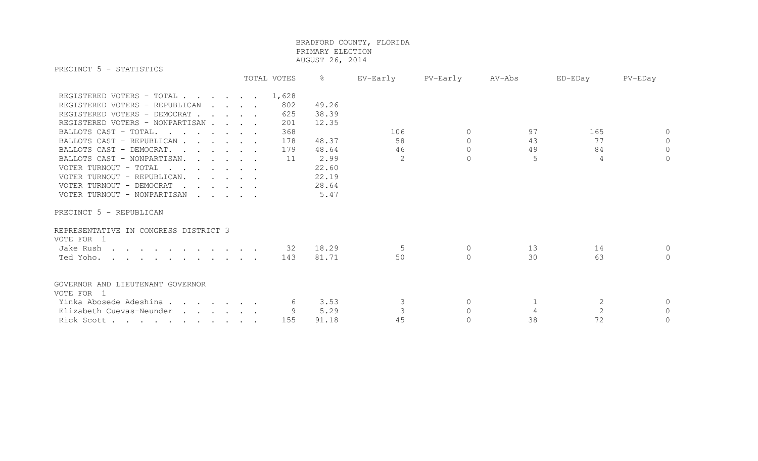PRECINCT 5 - STATISTICS

| LIVDOINOI J<br><b>DIMITOTTO</b>       |         | TOTAL VOTES | $\frac{6}{6}$ | EV-Early | PV-Early | AV-Abs         | ED-EDay        | PV-EDay        |
|---------------------------------------|---------|-------------|---------------|----------|----------|----------------|----------------|----------------|
| REGISTERED VOTERS - TOTAL             |         | 1,628       |               |          |          |                |                |                |
| REGISTERED VOTERS - REPUBLICAN        | $\cdot$ | 802         | 49.26         |          |          |                |                |                |
| REGISTERED VOTERS - DEMOCRAT          |         | 625         | 38.39         |          |          |                |                |                |
| REGISTERED VOTERS - NONPARTISAN       |         | 201         | 12.35         |          |          |                |                |                |
| BALLOTS CAST - TOTAL.                 |         | 368         |               | 106      | $\Omega$ | 97             | 165            | $\Omega$       |
| BALLOTS CAST - REPUBLICAN             |         | 178         | 48.37         | 58       | $\circ$  | 43             | 77             | $\circ$        |
| BALLOTS CAST - DEMOCRAT.              |         | 179         | 48.64         | 46       | $\Omega$ | 49             | 84             | $\circ$        |
| BALLOTS CAST - NONPARTISAN.           |         | 11          | 2.99          | 2        | $\Omega$ | 5              | 4              | $\circ$        |
| VOTER TURNOUT - TOTAL                 |         |             | 22.60         |          |          |                |                |                |
| VOTER TURNOUT - REPUBLICAN.           |         |             | 22.19         |          |          |                |                |                |
| VOTER TURNOUT - DEMOCRAT              |         |             | 28.64         |          |          |                |                |                |
| VOTER TURNOUT - NONPARTISAN           |         |             | 5.47          |          |          |                |                |                |
| PRECINCT 5 - REPUBLICAN               |         |             |               |          |          |                |                |                |
| REPRESENTATIVE IN CONGRESS DISTRICT 3 |         |             |               |          |          |                |                |                |
| VOTE FOR 1                            |         |             |               |          |          |                |                |                |
| Jake Rush                             |         | 32          | 18.29         | 5        | $\circ$  | 13             | 14             | $\Omega$       |
| Ted Yoho.                             |         | 143         | 81.71         | 50       | $\Omega$ | 30             | 63             | $\Omega$       |
| GOVERNOR AND LIEUTENANT GOVERNOR      |         |             |               |          |          |                |                |                |
| VOTE FOR 1                            |         |             |               |          |          |                |                |                |
| Yinka Abosede Adeshina                |         | 6           | 3.53          | 3        | $\circ$  |                | 2              | $\circ$        |
| Elizabeth Cuevas-Neunder              |         |             | 5.29          |          | $\Omega$ | $\overline{4}$ | $\overline{2}$ | $\overline{0}$ |
| Rick Scott                            |         | 155         | 91.18         | 45       | $\circ$  | 38             | 72             | $\circ$        |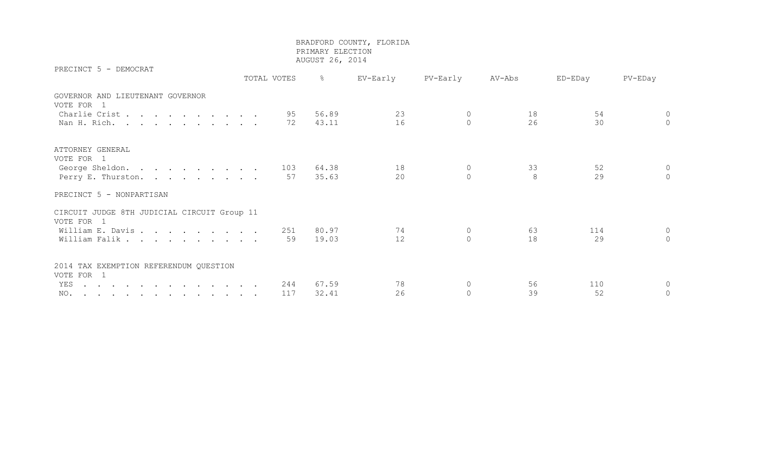PRECINCT 5 - DEMOCRAT

 TOTAL VOTES % EV-Early PV-Early AV-Abs ED-EDay PV-EDay GOVERNOR AND LIEUTENANT GOVERNOR VOTE FOR 1 Charlie Crist . . . . . . . . 95 56.89 23 0 18 54 0 Nan H. Rich. . . . . . . . . . 72 43.11 16 0 26 30 0 ATTORNEY GENERAL VOTE FOR 1 George Sheldon. . . . . . . . . 103 64.38 18 0 33 52 0 Perry E. Thurston. . . . . . . . 57 35.63 20 0 8 29 0 PRECINCT 5 - NONPARTISAN CIRCUIT JUDGE 8TH JUDICIAL CIRCUIT Group 11 VOTE FOR 1 William E. Davis . . . . . . . . 251 80.97 74 0 63 114 0 William Falik . . . . . . . . . 59 19.03 12 0 18 18 29 0 2014 TAX EXEMPTION REFERENDUM QUESTION VOTE FOR 1 YES . . . . . . . . . . . . . 244 67.59 78 0 56 110 0 NO. . . . . . . . . . . . . 117 32.41 26 0 39 52 0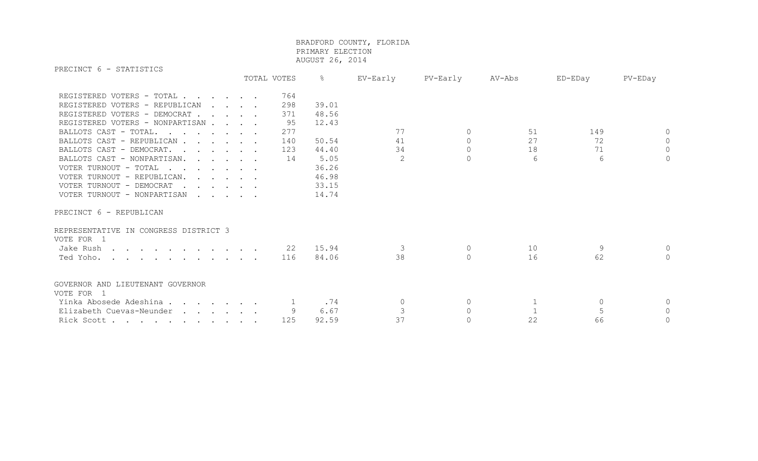PRECINCT 6 - STATISTICS

|                                                                                                                                                                                                                                                                                                                                                                                                                                                |                                                           | TOTAL VOTES                                        | $\frac{8}{6}$                                                                         | EV-Early                        | PV-Early                                   | AV-Abs              | ED-EDay              | PV-EDay                                  |
|------------------------------------------------------------------------------------------------------------------------------------------------------------------------------------------------------------------------------------------------------------------------------------------------------------------------------------------------------------------------------------------------------------------------------------------------|-----------------------------------------------------------|----------------------------------------------------|---------------------------------------------------------------------------------------|---------------------------------|--------------------------------------------|---------------------|----------------------|------------------------------------------|
| REGISTERED VOTERS - TOTAL<br>REGISTERED VOTERS - REPUBLICAN<br>REGISTERED VOTERS - DEMOCRAT<br>REGISTERED VOTERS - NONPARTISAN<br>BALLOTS CAST - TOTAL.<br>BALLOTS CAST - REPUBLICAN<br>BALLOTS CAST - DEMOCRAT.<br>BALLOTS CAST - NONPARTISAN.<br>VOTER TURNOUT - TOTAL<br>VOTER TURNOUT - REPUBLICAN.<br>VOTER TURNOUT - DEMOCRAT<br>$\mathbf{r}$ , $\mathbf{r}$ , $\mathbf{r}$ , $\mathbf{r}$ , $\mathbf{r}$<br>VOTER TURNOUT - NONPARTISAN | $\mathbf{r}$ , $\mathbf{r}$ , $\mathbf{r}$ , $\mathbf{r}$ | 764<br>298<br>371<br>95<br>277<br>140<br>123<br>14 | 39.01<br>48.56<br>12.43<br>50.54<br>44.40<br>5.05<br>36.26<br>46.98<br>33.15<br>14.74 | 77<br>41<br>34<br>$\mathcal{D}$ | $\circ$<br>$\circ$<br>$\Omega$<br>$\Omega$ | 51<br>27<br>18<br>6 | 149<br>72<br>71<br>6 | $\circ$<br>$\circ$<br>$\circ$<br>$\circ$ |
| PRECINCT 6 - REPUBLICAN<br>REPRESENTATIVE IN CONGRESS DISTRICT 3<br>VOTE FOR 1                                                                                                                                                                                                                                                                                                                                                                 |                                                           |                                                    |                                                                                       |                                 |                                            |                     |                      |                                          |
| Jake Rush<br>Ted Yoho.                                                                                                                                                                                                                                                                                                                                                                                                                         |                                                           | 22<br>116                                          | 15.94<br>84.06                                                                        | 3<br>38                         | $\circ$<br>$\Omega$                        | 10<br>16            | 9<br>62              | $\Omega$<br>$\Omega$                     |
| GOVERNOR AND LIEUTENANT GOVERNOR<br>VOTE FOR 1<br>Yinka Abosede Adeshina                                                                                                                                                                                                                                                                                                                                                                       |                                                           |                                                    | .74                                                                                   | $\Omega$                        | $\mathbf{0}$                               |                     | $\mathbf 0$          | $\circ$                                  |
| Elizabeth Cuevas-Neunder                                                                                                                                                                                                                                                                                                                                                                                                                       |                                                           | 9                                                  | 6.67                                                                                  |                                 | $\Omega$                                   |                     | 5                    | $\circ$                                  |
| Rick Scott                                                                                                                                                                                                                                                                                                                                                                                                                                     |                                                           | 125                                                | 92.59                                                                                 | 37                              | $\Omega$                                   | 22                  | 66                   | $\overline{0}$                           |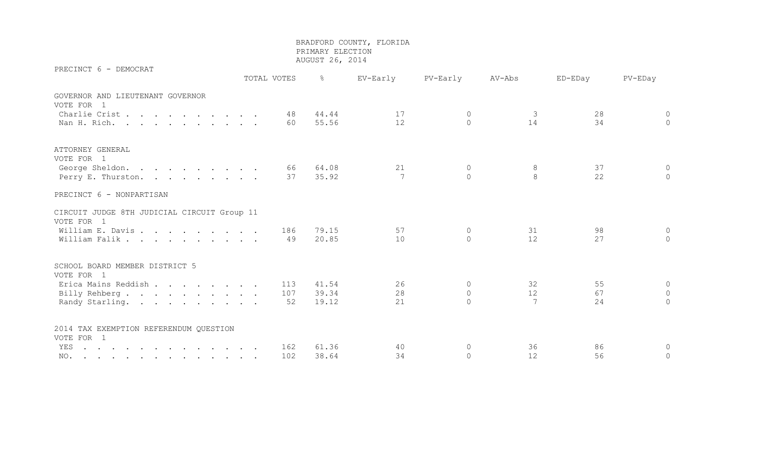PRECINCT 6 - DEMOCRAT

 TOTAL VOTES % EV-Early PV-Early AV-Abs ED-EDay PV-EDay GOVERNOR AND LIEUTENANT GOVERNOR VOTE FOR 1 Charlie Crist . . . . . . . . 48 44.44 17 0 3 28 0 Nan H. Rich. . . . . . . . . . 60 55.56 12 0 14 34 0 ATTORNEY GENERAL VOTE FOR 1 George Sheldon. . . . . . . . . 66 64.08 21 0 8 37 0 Perry E. Thurston. . . . . . . . 37 35.92 7 0 8 22 0 PRECINCT 6 - NONPARTISAN CIRCUIT JUDGE 8TH JUDICIAL CIRCUIT Group 11 VOTE FOR 1 William E. Davis . . . . . . . . . 186 79.15 57 0 31 98 0 William Falik . . . . . . . . . 49 20.85 10 0 12 27 0 SCHOOL BOARD MEMBER DISTRICT 5 VOTE FOR 1 Erica Mains Reddish . . . . . . 113 41.54 26 0 32 55 0 Billy Rehberg . . . . . . . . . 107 39.34 28 0 12 67 0 Randy Starling. . . . . . . . . 52 19.12 21 0 7 24 0 2014 TAX EXEMPTION REFERENDUM QUESTION VOTE FOR 1 YES . . . . . . . . . . . . 162 61.36 40 0 36 86 0 NO. . . . . . . . . . . . . 102 38.64 34 0 12 56 0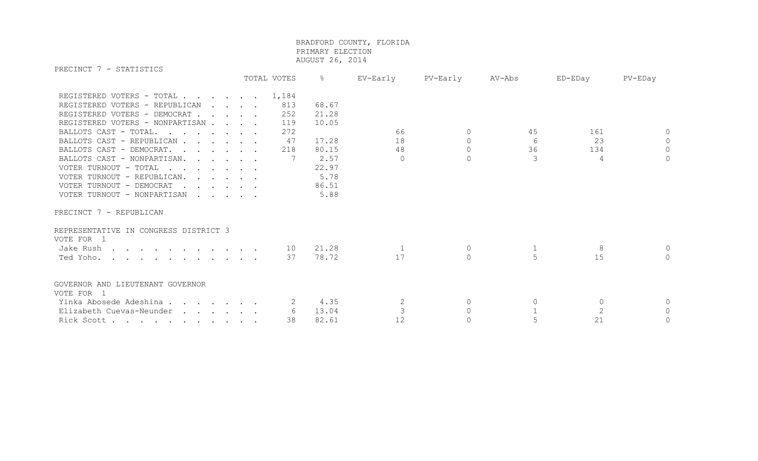PRECINCT 7 - STATISTICS TOTAL VOTES % EV-Early PV-Early AV-Abs ED-EDay PV-EDay REGISTERED VOTERS - TOTAL . . . . . . 1,184 REGISTERED VOTERS - REPUBLICAN . . . . 813 68.67 REGISTERED VOTERS - DEMOCRAT . . . . 252 21.28 REGISTERED VOTERS - NONPARTISAN . . . . 119 10.05 BALLOTS CAST - TOTAL. . . . . . 272 66 0 45 161 0 BALLOTS CAST - REPUBLICAN . . . . 47 17.28 18 0 6 23 0 BALLOTS CAST - DEMOCRAT. . . . . 218 80.15 48 0 36 36 134 0 BALLOTS CAST - NONPARTISAN. . . . . 7 2.57 0 0 0 3 4 0 VOTER TURNOUT - TOTAL . . . . . . . 22.97 VOTER TURNOUT - REPUBLICAN. . . . . . 5.78 VOTER TURNOUT - DEMOCRAT . . . . . . 86.51 VOTER TURNOUT - NONPARTISAN . . . . . 5.88 PRECINCT 7 - REPUBLICAN REPRESENTATIVE IN CONGRESS DISTRICT 3 VOTE FOR 1

| Jake Rush                                      |  |  |  |    |       |  |  |  |
|------------------------------------------------|--|--|--|----|-------|--|--|--|
| Ted Yoho.                                      |  |  |  | 37 | 78.72 |  |  |  |
| GOVERNOR AND LIEUTENANT GOVERNOR<br>VOTE FOR 1 |  |  |  |    |       |  |  |  |
| Yinka Abosede Adeshina                         |  |  |  |    | 4.35  |  |  |  |
| Elizabeth Cuevas-Neunder                       |  |  |  |    | 13.04 |  |  |  |
| Rick Scott                                     |  |  |  | 38 | 82.61 |  |  |  |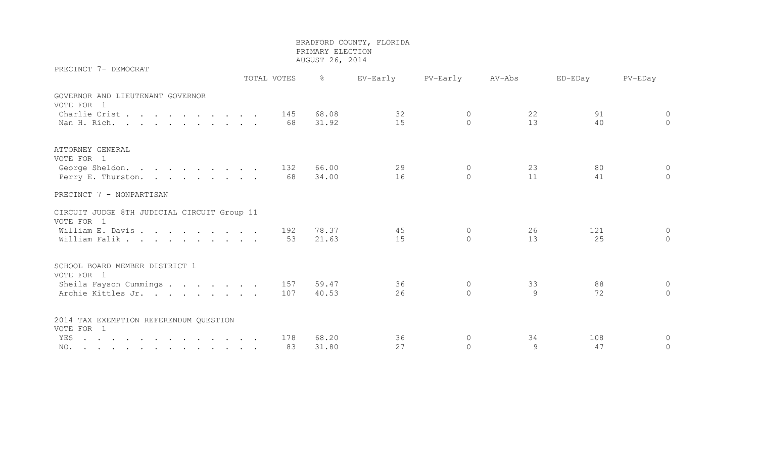| PRECINCT 7- DEMOCRAT                        |             |                  |          |                |        |         |                |
|---------------------------------------------|-------------|------------------|----------|----------------|--------|---------|----------------|
|                                             | TOTAL VOTES | <b>- 영화 - 영화</b> | EV-Early | PV-Early       | AV-Abs | ED-EDay | PV-EDay        |
| GOVERNOR AND LIEUTENANT GOVERNOR            |             |                  |          |                |        |         |                |
| VOTE FOR 1                                  |             |                  |          |                |        |         |                |
| Charlie Crist.                              | 145         | 68.08            | 32       | $\overline{0}$ | 22     | 91      | $\circledcirc$ |
| Nan H. Rich.                                | 68          | 31.92            | 15       | $\cap$         | 13     | 40      | $\overline{0}$ |
|                                             |             |                  |          |                |        |         |                |
| ATTORNEY GENERAL                            |             |                  |          |                |        |         |                |
| VOTE FOR 1                                  |             |                  |          |                |        |         |                |
| George Sheldon.                             | 132         | 66.00            | 29       | $\Omega$       | 23     | 80      | $\Omega$       |
| Perry E. Thurston.                          | 68          | 34.00            | 16       | $\Omega$       | 11     | 41      | $\overline{0}$ |
|                                             |             |                  |          |                |        |         |                |
| PRECINCT 7 - NONPARTISAN                    |             |                  |          |                |        |         |                |
| CIRCUIT JUDGE 8TH JUDICIAL CIRCUIT Group 11 |             |                  |          |                |        |         |                |
| VOTE FOR 1                                  |             |                  |          |                |        |         |                |
| William E. Davis                            | 192         | 78.37            | 45       | $\circ$        | 26     | 121     | $\circ$        |
| William Falik                               | 53          | 21.63            | 15       | $\Omega$       | 13     | 25      | $\circ$        |
|                                             |             |                  |          |                |        |         |                |
| SCHOOL BOARD MEMBER DISTRICT 1              |             |                  |          |                |        |         |                |
| VOTE FOR 1                                  |             |                  |          |                |        |         |                |
| Sheila Fayson Cummings                      | 157         | 59.47            | 36       | $\overline{0}$ | 33     | 88      | $\circ$        |
| Archie Kittles Jr.                          | 107         | 40.53            | 26       | $\Omega$       | 9      | 72      | $\circ$        |
|                                             |             |                  |          |                |        |         |                |
| 2014 TAX EXEMPTION REFERENDUM QUESTION      |             |                  |          |                |        |         |                |
| VOTE FOR 1                                  |             |                  |          |                |        |         |                |
| YES                                         | 178         | 68.20            | 36       | $\circ$        | 34     | 108     | $\circ$        |
| NO.                                         | 83          | 31.80            | 27       | $\Omega$       | 9      | 47      | $\circ$        |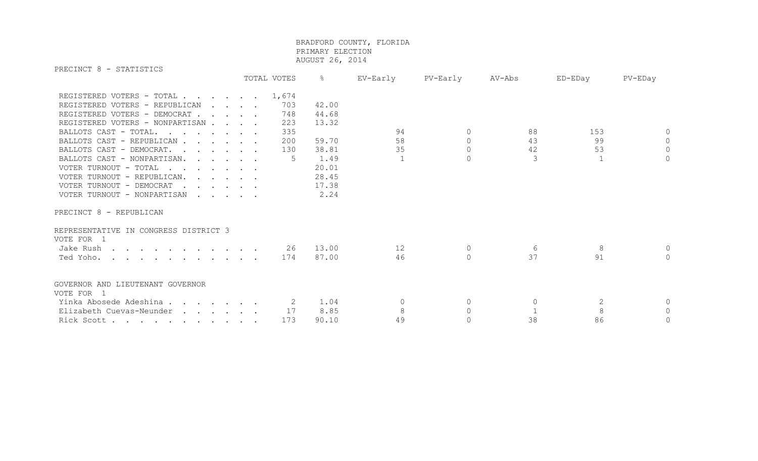PRECINCT 8 - STATISTICS TOTAL VOTES % EV-Early PV-Early AV-Abs ED-EDay PV-EDay REGISTERED VOTERS - TOTAL . . . . . . 1,674 REGISTERED VOTERS - REPUBLICAN . . . . 703 42.00 REGISTERED VOTERS - DEMOCRAT . . . . 748 44.68 REGISTERED VOTERS - NONPARTISAN . . . 223 13.32 BALLOTS CAST - TOTAL. . . . . . 335 94 0 88 153 0 BALLOTS CAST - REPUBLICAN . . . . 200 59.70 58 0 43 99 0 0 BALLOTS CAST - DEMOCRAT. . . . . . 130 38.81 35 0 42 53 0 39.91 35 BALLOTS CAST - NONPARTISAN. . . . . 5 1.49 1 0 3 3 1 0 VOTER TURNOUT - TOTAL . . . . . . . 20.01 VOTER TURNOUT - REPUBLICAN. . . . . . 28.45 VOTER TURNOUT - DEMOCRAT . . . . . . 17.38 VOTER TURNOUT - NONPARTISAN . . . . . 2.24

PRECINCT 8 - REPUBLICAN

| REPRESENTATIVE IN CONGRESS DISTRICT 3 |     |       |    |  |  |
|---------------------------------------|-----|-------|----|--|--|
| VOTE FOR 1                            |     |       |    |  |  |
| Jake Rush                             | 26  | 13.00 |    |  |  |
| Ted Yoho. 174                         |     | 87.00 | 46 |  |  |
| GOVERNOR AND LIEUTENANT GOVERNOR      |     |       |    |  |  |
| VOTE FOR 1                            |     |       |    |  |  |
| Yinka Abosede Adeshina                |     | 1.04  |    |  |  |
| Elizabeth Cuevas-Neunder              | 17  | 8.85  |    |  |  |
| Rick Scott                            | 173 | 90.10 |    |  |  |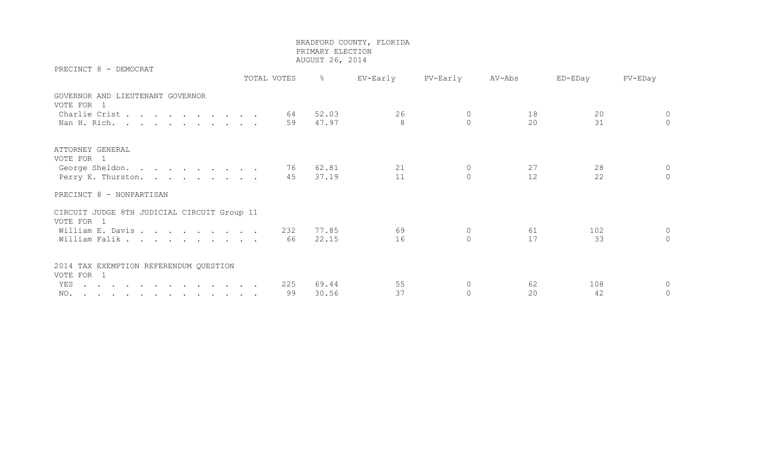PRECINCT 8 - DEMOCRAT

 TOTAL VOTES % EV-Early PV-Early AV-Abs ED-EDay PV-EDay GOVERNOR AND LIEUTENANT GOVERNOR VOTE FOR 1 Charlie Crist . . . . . . . . 64 52.03 26 0 18 20 0 Nan H. Rich. . . . . . . . . . 59 47.97 8 0 20 31 0 ATTORNEY GENERAL VOTE FOR 1 George Sheldon. . . . . . . . . 76 62.81 21 0 27 28 0 Perry E. Thurston. . . . . . . . 45 37.19 11 0 12 22 0 PRECINCT 8 - NONPARTISAN CIRCUIT JUDGE 8TH JUDICIAL CIRCUIT Group 11 VOTE FOR 1 William E. Davis . . . . . . . . 232 77.85 69 0 61 102 0 William Falik . . . . . . . . . 66 22.15 16 0 17 33 0 2014 TAX EXEMPTION REFERENDUM QUESTION VOTE FOR 1 YES . . . . . . . . . . . . . 225 69.44 55 0 62 108 0 NO. . . . . . . . . . . . . . 99 30.56 37 0 20 42 0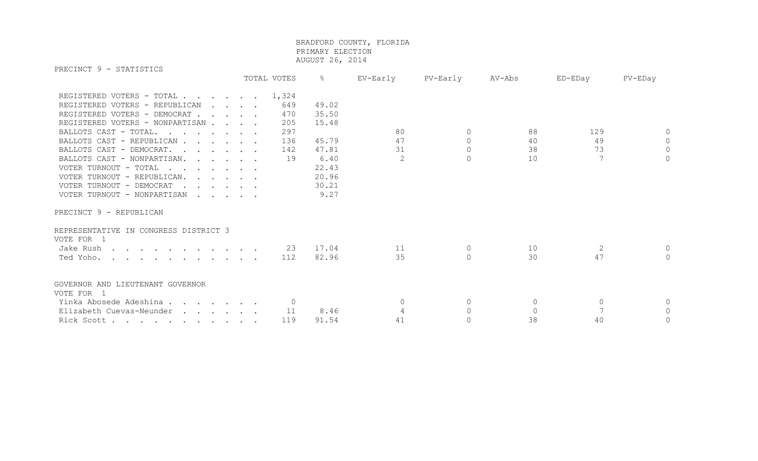PRECINCT 9 - STATISTICS

| エルロヘエロヘエーン<br><b>DIMITOITO</b>                                                                                                                                                                                                                         | TOTAL VOTES                     | $\frac{8}{6}$                                    | EV-Early             | PV-Early                                   | AV-Abs                     | ED-EDay        | PV-EDay                         |
|--------------------------------------------------------------------------------------------------------------------------------------------------------------------------------------------------------------------------------------------------------|---------------------------------|--------------------------------------------------|----------------------|--------------------------------------------|----------------------------|----------------|---------------------------------|
| REGISTERED VOTERS - TOTAL 1,324<br>REGISTERED VOTERS - REPUBLICAN<br>$\cdot$ $\cdot$ $\cdot$ $\cdot$ $\cdot$<br>REGISTERED VOTERS - DEMOCRAT<br>REGISTERED VOTERS - NONPARTISAN<br>BALLOTS CAST - TOTAL.<br>BALLOTS CAST - REPUBLICAN                  | 649<br>470<br>205<br>297<br>136 | 49.02<br>35.50<br>15.48<br>45.79                 | 80<br>47             | $\Omega$<br>$\circ$                        | 88<br>40                   | 129<br>49      | $\bigcap$<br>$\circ$            |
| BALLOTS CAST - DEMOCRAT.<br>BALLOTS CAST - NONPARTISAN.<br>VOTER TURNOUT - TOTAL<br>VOTER TURNOUT - REPUBLICAN.<br>VOTER TURNOUT - DEMOCRAT<br>$\mathbf{r}$ , $\mathbf{r}$ , $\mathbf{r}$ , $\mathbf{r}$ , $\mathbf{r}$<br>VOTER TURNOUT - NONPARTISAN | 142<br>19                       | 47.81<br>6.40<br>22.43<br>20.96<br>30.21<br>9.27 | 31<br>$\overline{2}$ | $\Omega$<br>$\Omega$                       | 38<br>10                   | 73<br>7        | $\mathbf{0}$<br>$\circ$         |
| PRECINCT 9 - REPUBLICAN<br>REPRESENTATIVE IN CONGRESS DISTRICT 3<br>VOTE FOR 1<br>Jake Rush<br>Ted Yoho.                                                                                                                                               | 23<br>112                       | 17.04<br>82.96                                   | 11<br>35             | 0<br>$\Omega$                              | 10<br>30                   | 2<br>47        | $\Omega$<br>$\bigcap$           |
| GOVERNOR AND LIEUTENANT GOVERNOR<br>VOTE FOR 1<br>Yinka Abosede Adeshina<br>Elizabeth Cuevas-Neunder<br>Rick Scott                                                                                                                                     | 11<br>119                       | 8.46<br>91.54                                    | $\Omega$<br>41       | $\overline{0}$<br>$\Omega$<br>$\mathbf{0}$ | $\circ$<br>$\bigcap$<br>38 | $\Omega$<br>40 | $\Omega$<br>$\Omega$<br>$\circ$ |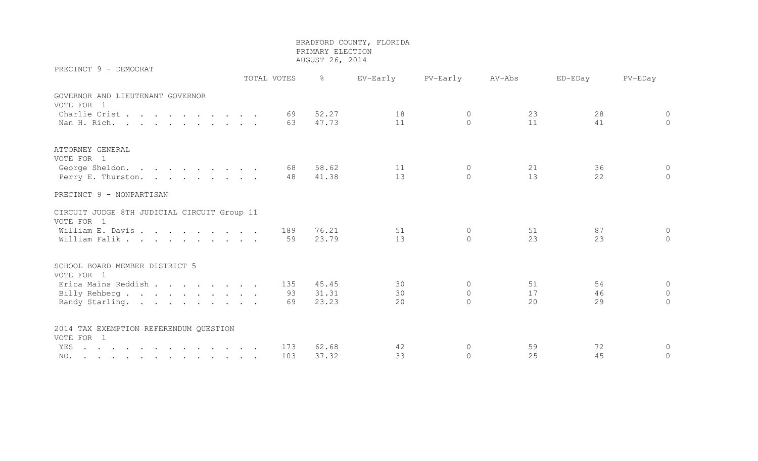PRECINCT 9 - DEMOCRAT

 TOTAL VOTES % EV-Early PV-Early AV-Abs ED-EDay PV-EDay GOVERNOR AND LIEUTENANT GOVERNOR VOTE FOR 1 Charlie Crist . . . . . . . . 69 52.27 18 0 23 28 0 Nan H. Rich. . . . . . . . . . 63 47.73 11 0 11 1 41 0 ATTORNEY GENERAL VOTE FOR 1 George Sheldon. . . . . . . . . 68 58.62 11 0 21 36 0 Perry E. Thurston. . . . . . . . 48 41.38 13 0 13 13 22 0 PRECINCT 9 - NONPARTISAN CIRCUIT JUDGE 8TH JUDICIAL CIRCUIT Group 11 VOTE FOR 1 William E. Davis . . . . . . . . . 189 76.21 51 0 51 51 87 0 William Falik . . . . . . . . . 59 23.79 13 0 23 23 23 0 SCHOOL BOARD MEMBER DISTRICT 5 VOTE FOR 1 Erica Mains Reddish . . . . . . 135 45.45 30 0 51 54 0 Billy Rehberg . . . . . . . . . 93 31.31 30 0 17 46 0 Randy Starling. . . . . . . . . 69 23.23 20 0 20 29 29 0 2014 TAX EXEMPTION REFERENDUM QUESTION VOTE FOR 1 YES . . . . . . . . . . . . . 173 62.68 42 0 59 72 0 NO. . . . . . . . . . . . . 103 37.32 33 0 25 45 0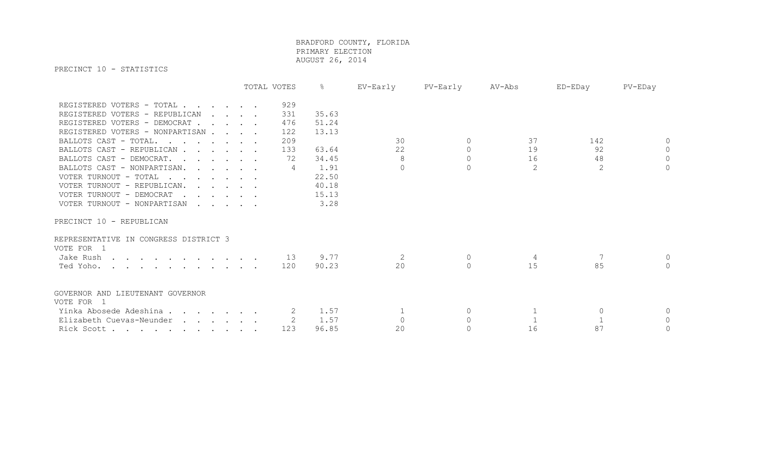PRECINCT 10 - STATISTICS

|                                                                   | TOTAL VOTES |     | ိင    | EV-Early | PV-Early       | AV-Abs | ED-EDay  | PV-EDay        |
|-------------------------------------------------------------------|-------------|-----|-------|----------|----------------|--------|----------|----------------|
| REGISTERED VOTERS - TOTAL                                         |             | 929 |       |          |                |        |          |                |
| REGISTERED VOTERS - REPUBLICAN<br>$\cdot$ $\cdot$ $\cdot$ $\cdot$ |             | 331 | 35.63 |          |                |        |          |                |
| REGISTERED VOTERS - DEMOCRAT                                      |             | 476 | 51.24 |          |                |        |          |                |
| REGISTERED VOTERS - NONPARTISAN                                   |             | 122 | 13.13 |          |                |        |          |                |
| BALLOTS CAST - TOTAL.                                             |             | 209 |       | 30       | $\Omega$       | 37     | 142      | $\Omega$       |
| BALLOTS CAST - REPUBLICAN                                         |             | 133 | 63.64 | 22       | $\overline{0}$ | 19     | 92       | $\overline{0}$ |
| BALLOTS CAST - DEMOCRAT.                                          |             | 72  | 34.45 | 8        | $\Omega$       | 16     | 48       | $\overline{0}$ |
| BALLOTS CAST - NONPARTISAN.                                       |             | 4   | 1.91  | $\Omega$ | $\Omega$       | 2      | 2        | $\Omega$       |
| VOTER TURNOUT - TOTAL                                             |             |     | 22.50 |          |                |        |          |                |
| VOTER TURNOUT - REPUBLICAN.                                       |             |     | 40.18 |          |                |        |          |                |
| VOTER TURNOUT - DEMOCRAT                                          |             |     | 15.13 |          |                |        |          |                |
| VOTER TURNOUT - NONPARTISAN                                       |             |     | 3.28  |          |                |        |          |                |
| PRECINCT 10 - REPUBLICAN                                          |             |     |       |          |                |        |          |                |
| REPRESENTATIVE IN CONGRESS DISTRICT 3                             |             |     |       |          |                |        |          |                |
| VOTE FOR 1                                                        |             |     |       |          |                |        |          |                |
| Jake Rush                                                         |             | 13  | 9.77  |          | $\circ$        | 4      |          | $\Omega$       |
| Ted Yoho.                                                         |             | 120 | 90.23 | 20       | $\Omega$       | 15     | 85       | $\Omega$       |
| GOVERNOR AND LIEUTENANT GOVERNOR                                  |             |     |       |          |                |        |          |                |
| VOTE FOR 1                                                        |             |     |       |          |                |        |          |                |
| Yinka Abosede Adeshina                                            |             | 2   | 1.57  |          | 0              |        | $\Omega$ | $\Omega$       |
| Elizabeth Cuevas-Neunder                                          |             |     | 1.57  | $\Omega$ | $\Omega$       |        |          | $\Omega$       |
| Rick Scott                                                        |             | 123 | 96.85 | 20       | $\Omega$       | 16     | 87       | $\circ$        |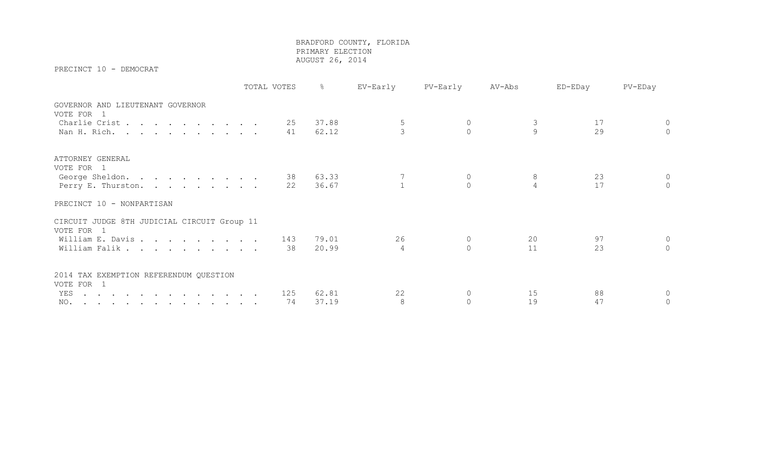PRECINCT 10 - DEMOCRAT

|                                                           | TOTAL VOTES | $\frac{8}{6}$ | EV-Early | PV-Early    | AV-Abs | ED-EDay | PV-EDay     |
|-----------------------------------------------------------|-------------|---------------|----------|-------------|--------|---------|-------------|
| GOVERNOR AND LIEUTENANT GOVERNOR<br>VOTE FOR 1            |             |               |          |             |        |         |             |
| Charlie Crist                                             | 25          | 37.88         |          |             |        | 17      | $\circ$     |
| Nan H. Rich.                                              | 41          | 62.12         |          |             | 9      | 29      | $\Omega$    |
| ATTORNEY GENERAL<br>VOTE FOR 1                            |             |               |          |             |        |         |             |
| George Sheldon.                                           | 38          | 63.33         |          |             |        | 23      | $\circ$     |
| Perry E. Thurston.                                        | 22          | 36.67         |          |             |        | 17      | $\Omega$    |
| PRECINCT 10 - NONPARTISAN                                 |             |               |          |             |        |         |             |
| CIRCUIT JUDGE 8TH JUDICIAL CIRCUIT Group 11<br>VOTE FOR 1 |             |               |          |             |        |         |             |
| William E. Davis                                          | 143         | 79.01         | 26       | $\mathbf 0$ | 20     | 97      | $\Omega$    |
| William Falik                                             | 38          | 20.99         | 4        | $\cap$      | 11     | 23      | $\bigcap$   |
| 2014 TAX EXEMPTION REFERENDUM QUESTION<br>VOTE FOR 1      |             |               |          |             |        |         |             |
| YES                                                       | 125         | 62.81         | 22       |             | 15     | 88      | $\circ$     |
| NO.                                                       | 74          | 37.19         | 8        |             | 19     | 47      | $\mathbf 0$ |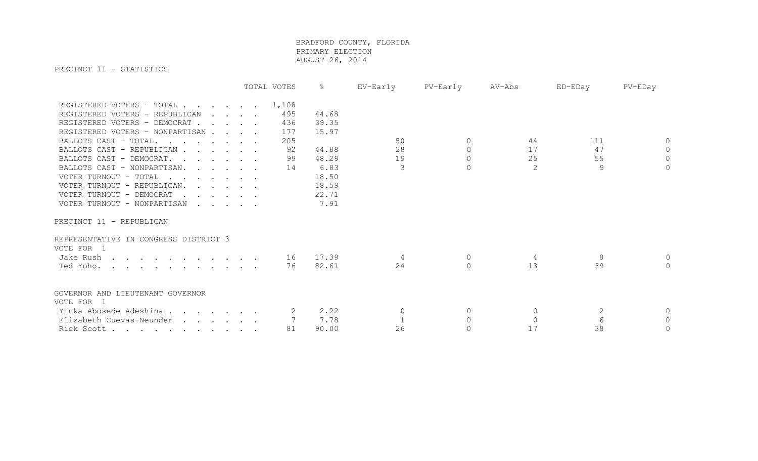PRECINCT 11 - STATISTICS

|                                                                           | TOTAL VOTES |       | ိဝ    | EV-Early | PV-Early  | AV-Abs   | ED-EDay      | PV-EDay      |
|---------------------------------------------------------------------------|-------------|-------|-------|----------|-----------|----------|--------------|--------------|
| REGISTERED VOTERS - TOTAL                                                 |             | 1,108 |       |          |           |          |              |              |
| REGISTERED VOTERS - REPUBLICAN<br>$\cdot$ $\cdot$ $\cdot$ $\cdot$ $\cdot$ |             | 495   | 44.68 |          |           |          |              |              |
| REGISTERED VOTERS - DEMOCRAT                                              |             | 436   | 39.35 |          |           |          |              |              |
| REGISTERED VOTERS - NONPARTISAN                                           |             | 177   | 15.97 |          |           |          |              |              |
| BALLOTS CAST - TOTAL.                                                     |             | 205   |       | 50       | $\Omega$  | 44       | 111          | $\Omega$     |
| BALLOTS CAST - REPUBLICAN                                                 |             | 92    | 44.88 | 28       | $\Omega$  | 17       | 47           | $\Omega$     |
| BALLOTS CAST - DEMOCRAT.                                                  |             | 99    | 48.29 | 19       | $\Omega$  | 25       | 55           | $\mathbf{0}$ |
| BALLOTS CAST - NONPARTISAN.                                               |             | 14    | 6.83  | 3        | $\bigcap$ | 2        | 9            | $\Omega$     |
| VOTER TURNOUT - TOTAL                                                     |             |       | 18.50 |          |           |          |              |              |
| VOTER TURNOUT - REPUBLICAN.                                               |             |       | 18.59 |          |           |          |              |              |
| VOTER TURNOUT - DEMOCRAT                                                  |             |       | 22.71 |          |           |          |              |              |
| VOTER TURNOUT - NONPARTISAN                                               |             |       | 7.91  |          |           |          |              |              |
| PRECINCT 11 - REPUBLICAN                                                  |             |       |       |          |           |          |              |              |
| REPRESENTATIVE IN CONGRESS DISTRICT 3                                     |             |       |       |          |           |          |              |              |
| VOTE FOR 1                                                                |             |       |       |          |           |          |              |              |
| Jake Rush                                                                 |             | 16    | 17.39 | 4        | $\circ$   | 4        | 8            | $\Omega$     |
| Ted Yoho.                                                                 |             | 76    | 82.61 | 24       | $\Omega$  | 13       | 39           | $\Omega$     |
|                                                                           |             |       |       |          |           |          |              |              |
| GOVERNOR AND LIEUTENANT GOVERNOR<br>VOTE FOR 1                            |             |       |       |          |           |          |              |              |
| Yinka Abosede Adeshina                                                    |             | 2     | 2.22  | 0        | $\Omega$  | $\Omega$ | $\mathbf{2}$ | $\circ$      |
| Elizabeth Cuevas-Neunder                                                  |             |       | 7.78  |          | $\Omega$  | $\Omega$ | 6            | $\circ$      |
| Rick Scott                                                                |             | 81    | 90.00 | 26       | $\Omega$  | 17       | 38           | $\mathbf 0$  |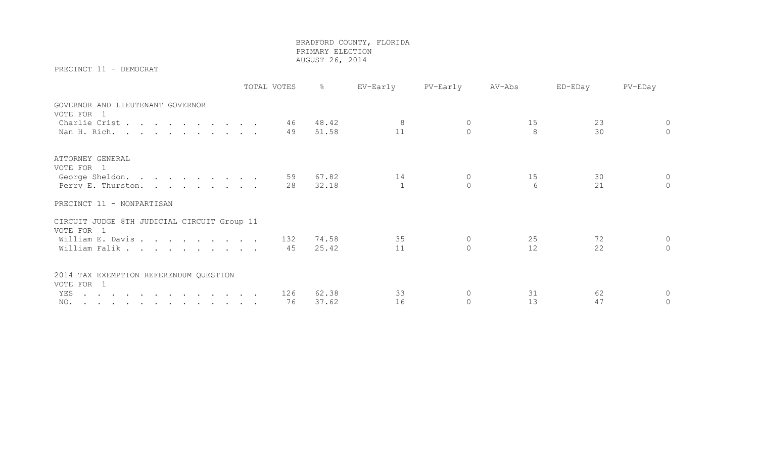PRECINCT 11 - DEMOCRAT

|                                                           | TOTAL VOTES | ိင    | EV-Early | PV-Early | AV-Abs | ED-EDay | PV-EDay        |
|-----------------------------------------------------------|-------------|-------|----------|----------|--------|---------|----------------|
| GOVERNOR AND LIEUTENANT GOVERNOR<br>VOTE FOR 1            |             |       |          |          |        |         |                |
| Charlie Crist                                             | 46          | 48.42 |          |          | 15     | 23      | $\circ$        |
| Nan H. Rich.                                              | 49          | 51.58 | 11       | $\Omega$ | 8      | 30      | $\overline{0}$ |
| ATTORNEY GENERAL<br>VOTE FOR 1                            |             |       |          |          |        |         |                |
| George Sheldon.                                           | 59          | 67.82 | 14       |          | 15     | 30      | $\circ$        |
| Perry E. Thurston.                                        | 28          | 32.18 |          |          | 6      | 21      | $\overline{0}$ |
| PRECINCT 11 - NONPARTISAN                                 |             |       |          |          |        |         |                |
| CIRCUIT JUDGE 8TH JUDICIAL CIRCUIT Group 11<br>VOTE FOR 1 |             |       |          |          |        |         |                |
| William E. Davis                                          | 132         | 74.58 | 35       | $\circ$  | 25     | 72      | $\circ$        |
| William Falik                                             | 45          | 25.42 | 11       | $\Omega$ | 12     | 22      | $\overline{0}$ |
| 2014 TAX EXEMPTION REFERENDUM QUESTION<br>VOTE FOR 1      |             |       |          |          |        |         |                |
| YES                                                       | 126         | 62.38 | 33       | 0        | 31     | 62      | $\circ$        |
| NO.                                                       | 76          | 37.62 | 16       | $\circ$  | 13     | 47      | $\circ$        |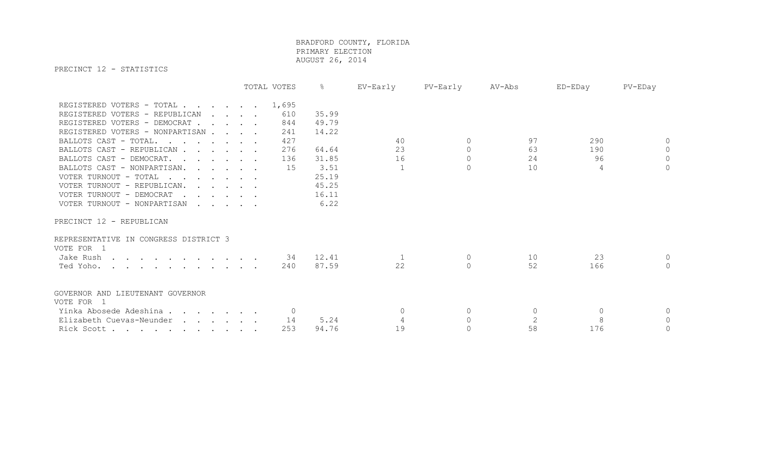PRECINCT 12 - STATISTICS

|                                                                           | TOTAL VOTES | ိင    | EV-Early     | PV-Early | AV-Abs         | ED-EDay  | PV-EDay  |
|---------------------------------------------------------------------------|-------------|-------|--------------|----------|----------------|----------|----------|
| REGISTERED VOTERS - TOTAL                                                 | 1,695       |       |              |          |                |          |          |
| REGISTERED VOTERS - REPUBLICAN<br>$\cdot$ $\cdot$ $\cdot$ $\cdot$ $\cdot$ | 610         | 35.99 |              |          |                |          |          |
| REGISTERED VOTERS - DEMOCRAT                                              | 844         | 49.79 |              |          |                |          |          |
| REGISTERED VOTERS - NONPARTISAN                                           | 241         | 14.22 |              |          |                |          |          |
| BALLOTS CAST - TOTAL.                                                     | 427         |       | 40           | $\Omega$ | 97             | 290      | $\Omega$ |
| BALLOTS CAST - REPUBLICAN                                                 | 276         | 64.64 | 23           | $\circ$  | 63             | 190      | $\Omega$ |
| BALLOTS CAST - DEMOCRAT.                                                  | 136         | 31.85 | 16           | $\Omega$ | 24             | 96       | $\Omega$ |
| BALLOTS CAST - NONPARTISAN.                                               | 15          | 3.51  | $\mathbf{1}$ | $\Omega$ | 10             | 4        | $\Omega$ |
| VOTER TURNOUT - TOTAL                                                     |             | 25.19 |              |          |                |          |          |
| VOTER TURNOUT - REPUBLICAN.                                               |             | 45.25 |              |          |                |          |          |
| VOTER TURNOUT - DEMOCRAT                                                  |             | 16.11 |              |          |                |          |          |
| VOTER TURNOUT - NONPARTISAN                                               |             | 6.22  |              |          |                |          |          |
| PRECINCT 12 - REPUBLICAN                                                  |             |       |              |          |                |          |          |
|                                                                           |             |       |              |          |                |          |          |
| REPRESENTATIVE IN CONGRESS DISTRICT 3<br>VOTE FOR 1                       |             |       |              |          |                |          |          |
| Jake Rush                                                                 | 34          | 12.41 |              | $\circ$  | 10             | 23       | $\Omega$ |
| Ted Yoho.                                                                 | 240         | 87.59 | 22           | $\Omega$ | 52             | 166      | $\Omega$ |
|                                                                           |             |       |              |          |                |          |          |
| GOVERNOR AND LIEUTENANT GOVERNOR<br>VOTE FOR 1                            |             |       |              |          |                |          |          |
| Yinka Abosede Adeshina                                                    |             |       | $\mathbf 0$  | 0        | $\Omega$       | $\Omega$ | $\circ$  |
| Elizabeth Cuevas-Neunder                                                  | 14          | 5.24  |              | $\Omega$ | $\overline{c}$ | 8        | $\circ$  |
| Rick Scott                                                                |             |       |              |          |                |          |          |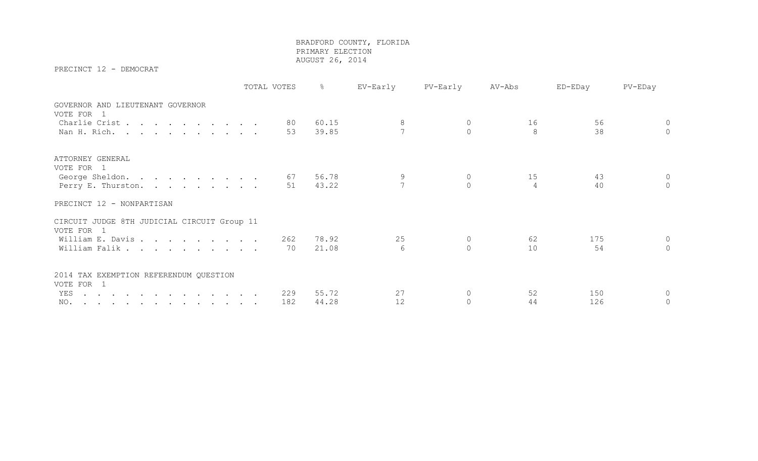PRECINCT 12 - DEMOCRAT

|                                                           | TOTAL VOTES | ိင    | EV-Early | PV-Early | AV-Abs | ED-EDay | PV-EDay  |
|-----------------------------------------------------------|-------------|-------|----------|----------|--------|---------|----------|
| GOVERNOR AND LIEUTENANT GOVERNOR<br>VOTE FOR 1            |             |       |          |          |        |         |          |
| Charlie Crist                                             | 80          | 60.15 | 8        |          | 16     | 56      | $\circ$  |
| Nan H. Rich.                                              | 53          | 39.85 |          |          | 8      | 38      | $\Omega$ |
| ATTORNEY GENERAL<br>VOTE FOR 1                            |             |       |          |          |        |         |          |
| George Sheldon.                                           | 67          | 56.78 |          |          | 15     | 43      | $\Omega$ |
| Perry E. Thurston.                                        | 51          | 43.22 |          |          | 4      | 40      | $\cap$   |
| PRECINCT 12 - NONPARTISAN                                 |             |       |          |          |        |         |          |
| CIRCUIT JUDGE 8TH JUDICIAL CIRCUIT Group 11<br>VOTE FOR 1 |             |       |          |          |        |         |          |
| William E. Davis                                          | 262         | 78.92 | 25       | 0        | 62     | 175     | $\circ$  |
| William Falik                                             | 70          | 21.08 | 6        | $\Omega$ | 10     | 54      | $\circ$  |
| 2014 TAX EXEMPTION REFERENDUM QUESTION<br>VOTE FOR 1      |             |       |          |          |        |         |          |
| YES                                                       | 229         | 55.72 | 27       |          | 52     | 150     | $\Omega$ |
| NO.                                                       | 182         | 44.28 | 12       |          | 44     | 126     | $\circ$  |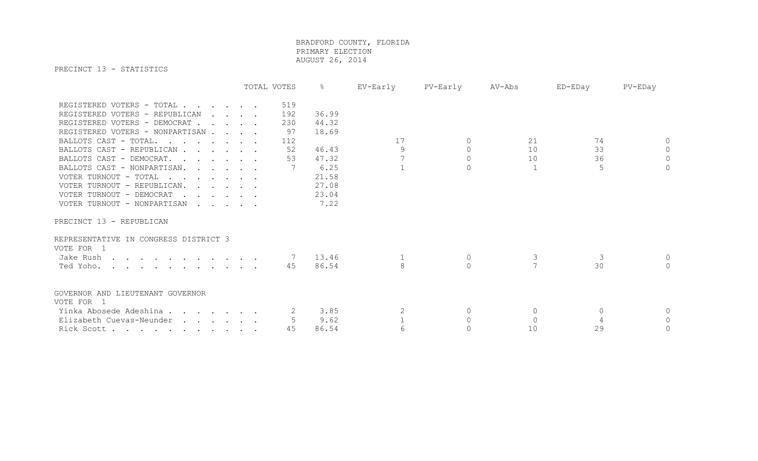PRECINCT 13 - STATISTICS

|                                       |         | TOTAL VOTES    | $\frac{6}{5}$ | EV-Early | PV-Early | AV-Abs   | ED-EDay | PV-EDay        |
|---------------------------------------|---------|----------------|---------------|----------|----------|----------|---------|----------------|
| REGISTERED VOTERS - TOTAL             |         | 519            |               |          |          |          |         |                |
| REGISTERED VOTERS - REPUBLICAN        | $\cdot$ | 192            | 36.99         |          |          |          |         |                |
| REGISTERED VOTERS - DEMOCRAT          |         | 230            | 44.32         |          |          |          |         |                |
| REGISTERED VOTERS - NONPARTISAN       |         | 97             | 18.69         |          |          |          |         |                |
| BALLOTS CAST - TOTAL.                 |         | 112            |               | 17       | $\Omega$ | 21       | 74      | $\circ$        |
| BALLOTS CAST - REPUBLICAN             |         | 52             | 46.43         | 9        | $\circ$  | 10       | 33      | $\circledcirc$ |
| BALLOTS CAST - DEMOCRAT.              |         | 53             | 47.32         |          | $\circ$  | 10       | 36      | $\circ$        |
| BALLOTS CAST - NONPARTISAN.           |         |                | 6.25          |          | $\Omega$ |          | 5       | $\Omega$       |
| VOTER TURNOUT - TOTAL                 |         |                | 21.58         |          |          |          |         |                |
| VOTER TURNOUT - REPUBLICAN.           |         |                | 27.08         |          |          |          |         |                |
| VOTER TURNOUT - DEMOCRAT              |         |                | 23.04         |          |          |          |         |                |
| VOTER TURNOUT - NONPARTISAN           |         |                | 7.22          |          |          |          |         |                |
|                                       |         |                |               |          |          |          |         |                |
| PRECINCT 13 - REPUBLICAN              |         |                |               |          |          |          |         |                |
| REPRESENTATIVE IN CONGRESS DISTRICT 3 |         |                |               |          |          |          |         |                |
| VOTE FOR 1                            |         |                |               |          |          |          |         |                |
| Jake Rush                             |         | $\overline{7}$ | 13.46         |          | $\circ$  | 3        | 3       | $\circ$        |
| Ted Yoho.                             |         | 45             | 86.54         |          | $\Omega$ |          | 30      | $\bigcap$      |
|                                       |         |                |               |          |          |          |         |                |
| GOVERNOR AND LIEUTENANT GOVERNOR      |         |                |               |          |          |          |         |                |
| VOTE FOR 1                            |         |                |               |          |          |          |         |                |
| Yinka Abosede Adeshina                |         |                | 3.85          |          | $\Omega$ | $\Omega$ | $\cap$  | $\circ$        |
| Elizabeth Cuevas-Neunder              |         |                | 9.62          |          |          | $\cap$   |         | $\Omega$       |
| Rick Scott                            |         | 45             | 86.54         |          |          | 10       | 29      | $\circ$        |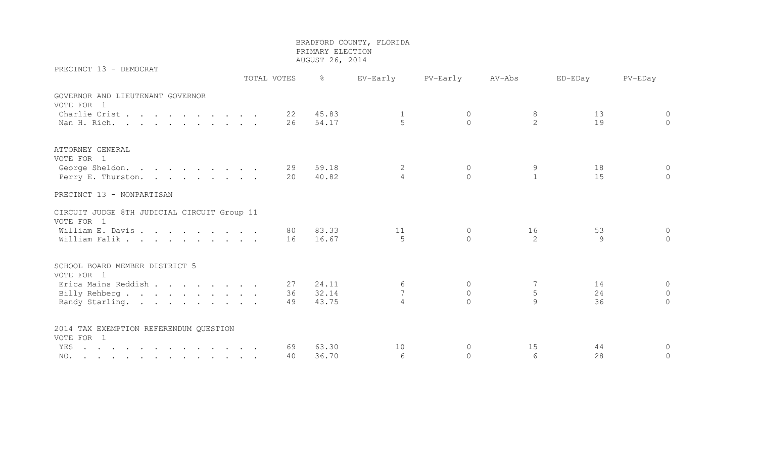PRECINCT 13 - DEMOCRAT

 TOTAL VOTES % EV-Early PV-Early AV-Abs ED-EDay PV-EDay GOVERNOR AND LIEUTENANT GOVERNOR VOTE FOR 1 Charlie Crist . . . . . . . . 22 45.83 1 0 8 13 0 Nan H. Rich. . . . . . . . . . 26 54.17 5 0 2 19 0 ATTORNEY GENERAL VOTE FOR 1 George Sheldon. . . . . . . . . 29 59.18 2 0 9 9 18 0 Perry E. Thurston. . . . . . . . 20 40.82 4 0 1 15 0 PRECINCT 13 - NONPARTISAN CIRCUIT JUDGE 8TH JUDICIAL CIRCUIT Group 11 VOTE FOR 1 William E. Davis . . . . . . . . 80 83.33 11 0 16 53 0 William Falik . . . . . . . . . 16 16.67 5 0 2 9 0 SCHOOL BOARD MEMBER DISTRICT 5 VOTE FOR 1 Erica Mains Reddish . . . . . . 27 24.11 6 0 7 14 0 Billy Rehberg . . . . . . . . . 36 32.14 7 0 5 24 0 Randy Starling. . . . . . . . . 49 43.75 4 0 9 36 0 2014 TAX EXEMPTION REFERENDUM QUESTION VOTE FOR 1 YES . . . . . . . . . . . . . 69 63.30 10 0 15 44 0 NO. . . . . . . . . . . . . 40 36.70 6 0 6 28 0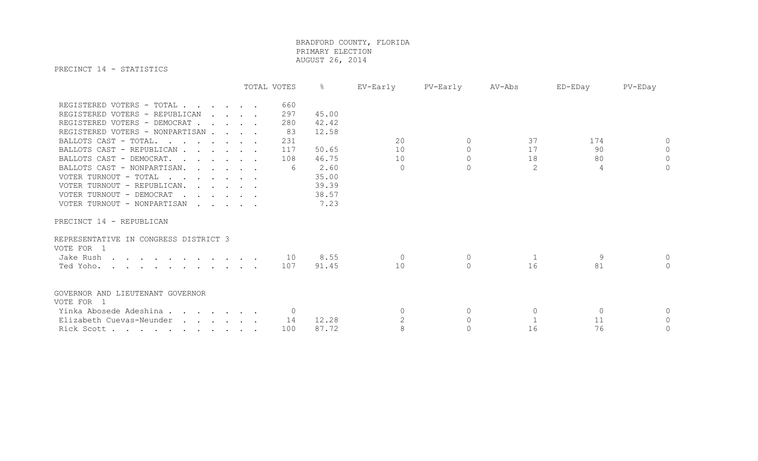PRECINCT 14 - STATISTICS

|                                           | TOTAL VOTES | ိဝ    | EV-Early  | PV-Early  | AV-Abs   | ED-EDay  | PV-EDay      |
|-------------------------------------------|-------------|-------|-----------|-----------|----------|----------|--------------|
| REGISTERED VOTERS - TOTAL                 | 660         |       |           |           |          |          |              |
| REGISTERED VOTERS - REPUBLICAN<br>$\cdot$ | 297         | 45.00 |           |           |          |          |              |
| REGISTERED VOTERS - DEMOCRAT              | 280         | 42.42 |           |           |          |          |              |
| REGISTERED VOTERS - NONPARTISAN           | 83          | 12.58 |           |           |          |          |              |
| BALLOTS CAST - TOTAL.                     | 231         |       | 20        | $\Omega$  | 37       | 174      | $\Omega$     |
| BALLOTS CAST - REPUBLICAN                 | 117         | 50.65 | 10        | $\circ$   | 17       | 90       | $\Omega$     |
| BALLOTS CAST - DEMOCRAT.                  | 108         | 46.75 | 10        | $\Omega$  | 18       | 80       | $\Omega$     |
| BALLOTS CAST - NONPARTISAN.               | 6           | 2.60  | $\bigcap$ | $\bigcap$ | 2        | 4        | $\bigcap$    |
| VOTER TURNOUT - TOTAL                     |             | 35.00 |           |           |          |          |              |
| VOTER TURNOUT - REPUBLICAN.               |             | 39.39 |           |           |          |          |              |
| VOTER TURNOUT - DEMOCRAT                  |             | 38.57 |           |           |          |          |              |
| VOTER TURNOUT - NONPARTISAN               |             | 7.23  |           |           |          |          |              |
| PRECINCT 14 - REPUBLICAN                  |             |       |           |           |          |          |              |
| REPRESENTATIVE IN CONGRESS DISTRICT 3     |             |       |           |           |          |          |              |
| VOTE FOR 1                                |             |       |           |           |          |          |              |
| Jake Rush                                 | 10          | 8.55  | $\Omega$  | $\circ$   | 1        | 9        | $\Omega$     |
| Ted Yoho.                                 | 107         | 91.45 | 10        | $\Omega$  | 16       | 81       | $\Omega$     |
| GOVERNOR AND LIEUTENANT GOVERNOR          |             |       |           |           |          |          |              |
| VOTE FOR 1                                |             |       |           |           |          |          |              |
| Yinka Abosede Adeshina                    |             |       | $\Omega$  | $\Omega$  | $\Omega$ | $\Omega$ | $\mathbf{0}$ |
| Elizabeth Cuevas-Neunder                  | 14          | 12.28 |           | $\bigcap$ |          | 11       | $\mathbb O$  |
| Rick Scott                                | 100         | 87.72 | 8         | $\Omega$  | 16       | 76       | $\mathbf 0$  |